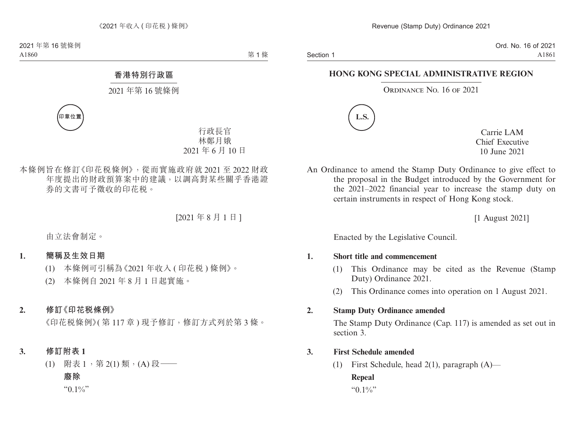Section 1

Ord. No. 16 of 2021 A1861

### **HONG KONG SPECIAL ADMINISTRATIVE REGION**

### ORDINANCE NO. 16 OF 2021



Carrie LAM Chief Executive 10 June 2021

An Ordinance to amend the Stamp Duty Ordinance to give effect to the proposal in the Budget introduced by the Government for the 2021–2022 financial year to increase the stamp duty on certain instruments in respect of Hong Kong stock.

[1 August 2021]

Enacted by the Legislative Council.

#### **1. Short title and commencement**

- (1) This Ordinance may be cited as the Revenue (Stamp Duty) Ordinance 2021.
- (2) This Ordinance comes into operation on 1 August 2021.

### **2. Stamp Duty Ordinance amended**

The Stamp Duty Ordinance (Cap. 117) is amended as set out in section 3.

## **3. First Schedule amended**

(1) First Schedule, head 2(1), paragraph (A)— **Repeal**

" $0.1\%$ "